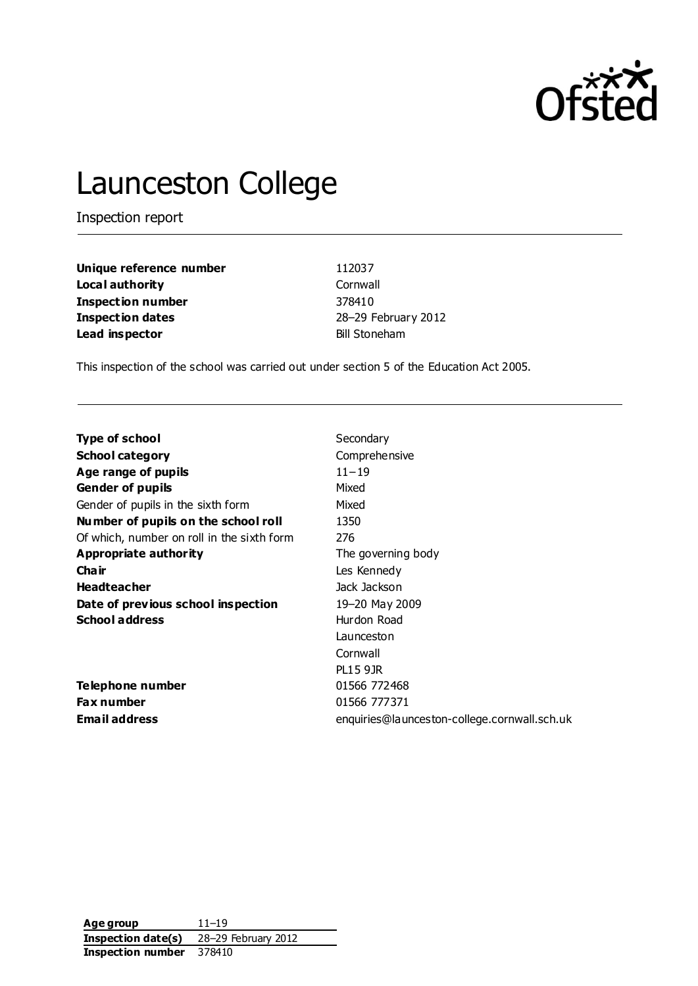

# Launceston College

Inspection report

| Unique reference number  | 112037               |
|--------------------------|----------------------|
| Local authority          | Cornwall             |
| <b>Inspection number</b> | 378410               |
| <b>Inspection dates</b>  | 28-29 February 2012  |
| Lead inspector           | <b>Bill Stoneham</b> |

This inspection of the school was carried out under section 5 of the Education Act 2005.

| <b>Type of school</b>                      | Secondary                                    |
|--------------------------------------------|----------------------------------------------|
| <b>School category</b>                     | Comprehensive                                |
| Age range of pupils                        | $11 - 19$                                    |
| <b>Gender of pupils</b>                    | Mixed                                        |
| Gender of pupils in the sixth form         | Mixed                                        |
| Number of pupils on the school roll        | 1350                                         |
| Of which, number on roll in the sixth form | 276                                          |
| Appropriate authority                      | The governing body                           |
| Cha ir                                     | Les Kennedy                                  |
| <b>Headteacher</b>                         | Jack Jackson                                 |
| Date of previous school inspection         | 19-20 May 2009                               |
| <b>School address</b>                      | Hurdon Road                                  |
|                                            | Launceston                                   |
|                                            | Cornwall                                     |
|                                            | <b>PL15 9JR</b>                              |
| Telephone number                           | 01566 772468                                 |
| <b>Fax number</b>                          | 01566 777371                                 |
| <b>Email address</b>                       | enquiries@launceston-college.cornwall.sch.uk |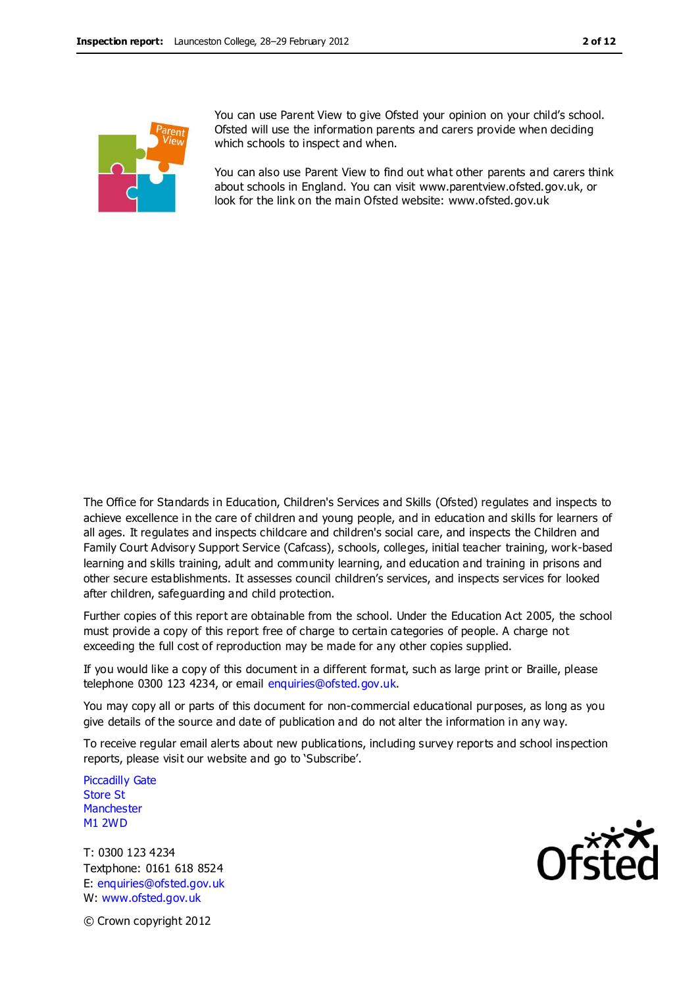

You can use Parent View to give Ofsted your opinion on your child's school. Ofsted will use the information parents and carers provide when deciding which schools to inspect and when.

You can also use Parent View to find out what other parents and carers think about schools in England. You can visit www.parentview.ofsted.gov.uk, or look for the link on the main Ofsted website: www.ofsted.gov.uk

The Office for Standards in Education, Children's Services and Skills (Ofsted) regulates and inspects to achieve excellence in the care of children and young people, and in education and skills for learners of all ages. It regulates and inspects childcare and children's social care, and inspects the Children and Family Court Advisory Support Service (Cafcass), schools, colleges, initial teacher training, work-based learning and skills training, adult and community learning, and education and training in prisons and other secure establishments. It assesses council children's services, and inspects services for looked after children, safeguarding and child protection.

Further copies of this report are obtainable from the school. Under the Education Act 2005, the school must provide a copy of this report free of charge to certain categories of people. A charge not exceeding the full cost of reproduction may be made for any other copies supplied.

If you would like a copy of this document in a different format, such as large print or Braille, please telephone 0300 123 4234, or email enquiries@ofsted.gov.uk.

You may copy all or parts of this document for non-commercial educational purposes, as long as you give details of the source and date of publication and do not alter the information in any way.

To receive regular email alerts about new publications, including survey reports and school inspection reports, please visit our website and go to 'Subscribe'.

Piccadilly Gate Store St **Manchester** M1 2WD

T: 0300 123 4234 Textphone: 0161 618 8524 E: enquiries@ofsted.gov.uk W: www.ofsted.gov.uk



© Crown copyright 2012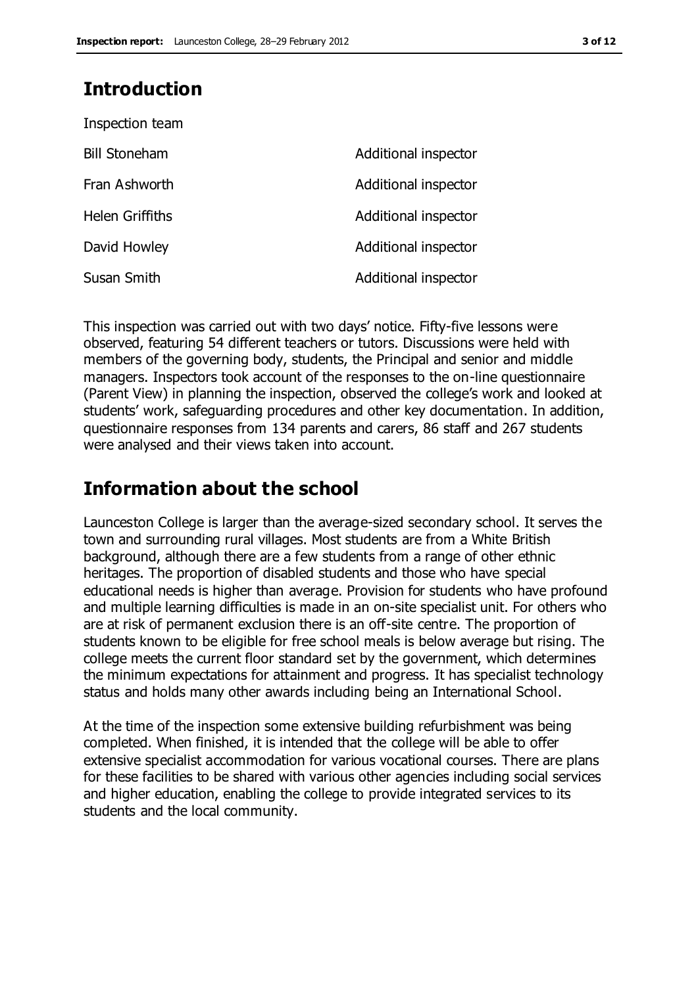### **Introduction**

| Inspection team        |                      |
|------------------------|----------------------|
| <b>Bill Stoneham</b>   | Additional inspector |
| Fran Ashworth          | Additional inspector |
| <b>Helen Griffiths</b> | Additional inspector |
| David Howley           | Additional inspector |
| Susan Smith            | Additional inspector |

This inspection was carried out with two days' notice. Fifty-five lessons were observed, featuring 54 different teachers or tutors. Discussions were held with members of the governing body, students, the Principal and senior and middle managers. Inspectors took account of the responses to the on-line questionnaire (Parent View) in planning the inspection, observed the college's work and looked at students' work, safeguarding procedures and other key documentation. In addition, questionnaire responses from 134 parents and carers, 86 staff and 267 students were analysed and their views taken into account.

### **Information about the school**

Launceston College is larger than the average-sized secondary school. It serves the town and surrounding rural villages. Most students are from a White British background, although there are a few students from a range of other ethnic heritages. The proportion of disabled students and those who have special educational needs is higher than average. Provision for students who have profound and multiple learning difficulties is made in an on-site specialist unit. For others who are at risk of permanent exclusion there is an off-site centre. The proportion of students known to be eligible for free school meals is below average but rising. The college meets the current floor standard set by the government, which determines the minimum expectations for attainment and progress. It has specialist technology status and holds many other awards including being an International School.

At the time of the inspection some extensive building refurbishment was being completed. When finished, it is intended that the college will be able to offer extensive specialist accommodation for various vocational courses. There are plans for these facilities to be shared with various other agencies including social services and higher education, enabling the college to provide integrated services to its students and the local community.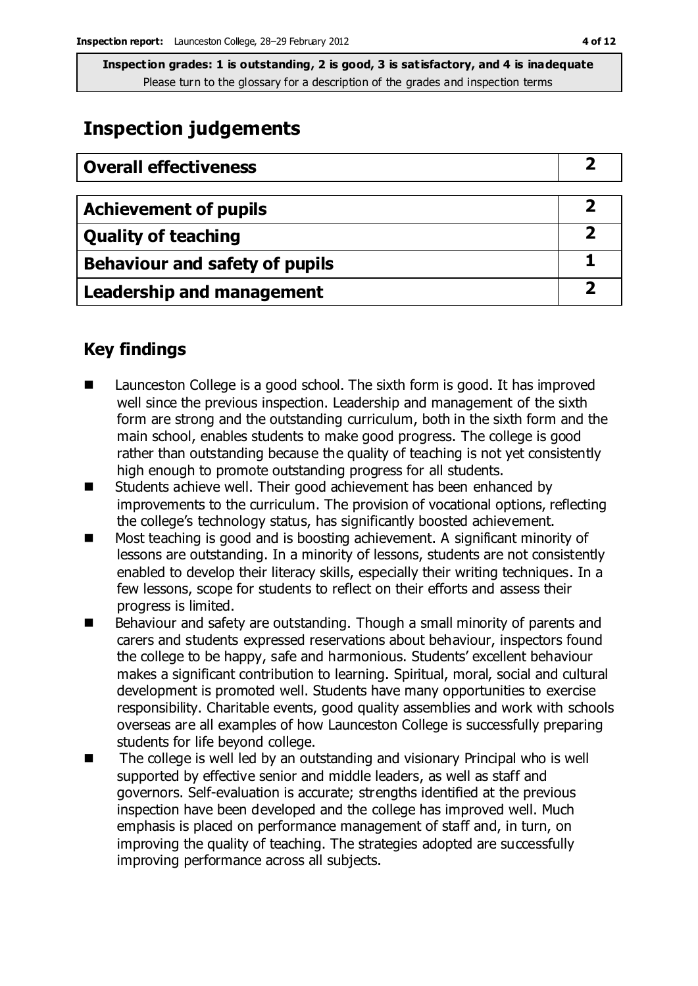### **Inspection judgements**

| <b>Overall effectiveness</b>          |  |
|---------------------------------------|--|
| <b>Achievement of pupils</b>          |  |
| <b>Quality of teaching</b>            |  |
| <b>Behaviour and safety of pupils</b> |  |
| <b>Leadership and management</b>      |  |

### **Key findings**

- Launceston College is a good school. The sixth form is good. It has improved well since the previous inspection. Leadership and management of the sixth form are strong and the outstanding curriculum, both in the sixth form and the main school, enables students to make good progress. The college is good rather than outstanding because the quality of teaching is not yet consistently high enough to promote outstanding progress for all students.
- Students achieve well. Their good achievement has been enhanced by improvements to the curriculum. The provision of vocational options, reflecting the college's technology status, has significantly boosted achievement.
- Most teaching is good and is boosting achievement. A significant minority of lessons are outstanding. In a minority of lessons, students are not consistently enabled to develop their literacy skills, especially their writing techniques. In a few lessons, scope for students to reflect on their efforts and assess their progress is limited.
- Behaviour and safety are outstanding. Though a small minority of parents and carers and students expressed reservations about behaviour, inspectors found the college to be happy, safe and harmonious. Students' excellent behaviour makes a significant contribution to learning. Spiritual, moral, social and cultural development is promoted well. Students have many opportunities to exercise responsibility. Charitable events, good quality assemblies and work with schools overseas are all examples of how Launceston College is successfully preparing students for life beyond college.
- The college is well led by an outstanding and visionary Principal who is well supported by effective senior and middle leaders, as well as staff and governors. Self-evaluation is accurate; strengths identified at the previous inspection have been developed and the college has improved well. Much emphasis is placed on performance management of staff and, in turn, on improving the quality of teaching. The strategies adopted are successfully improving performance across all subjects.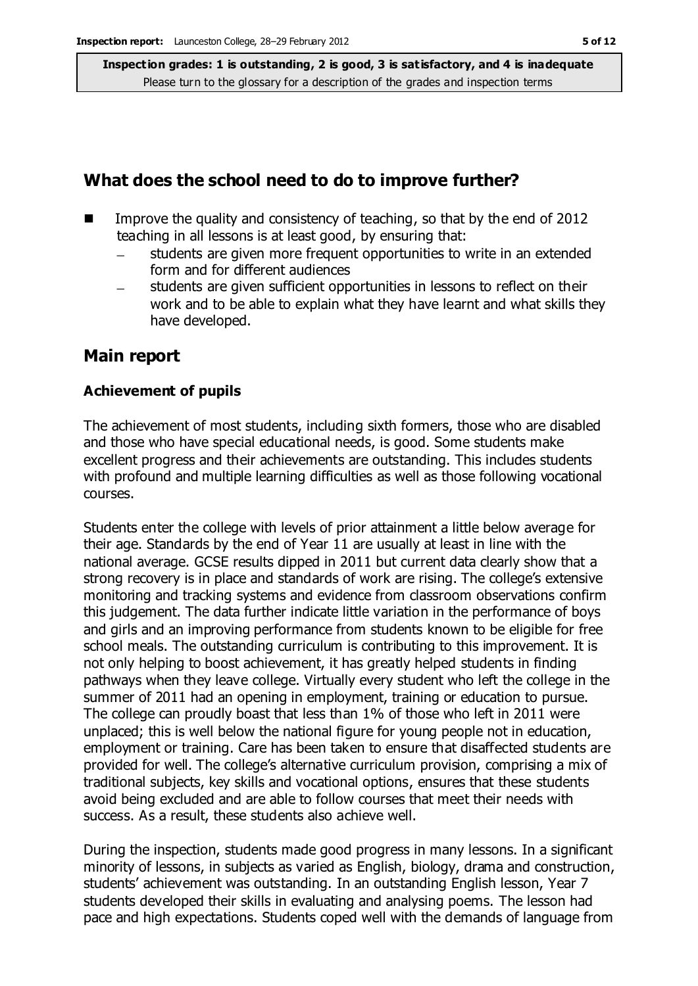### **What does the school need to do to improve further?**

- Improve the quality and consistency of teaching, so that by the end of 2012 teaching in all lessons is at least good, by ensuring that:
	- students are given more frequent opportunities to write in an extended form and for different audiences
	- students are given sufficient opportunities in lessons to reflect on their work and to be able to explain what they have learnt and what skills they have developed.

### **Main report**

#### **Achievement of pupils**

The achievement of most students, including sixth formers, those who are disabled and those who have special educational needs, is good. Some students make excellent progress and their achievements are outstanding. This includes students with profound and multiple learning difficulties as well as those following vocational courses.

Students enter the college with levels of prior attainment a little below average for their age. Standards by the end of Year 11 are usually at least in line with the national average. GCSE results dipped in 2011 but current data clearly show that a strong recovery is in place and standards of work are rising. The college's extensive monitoring and tracking systems and evidence from classroom observations confirm this judgement. The data further indicate little variation in the performance of boys and girls and an improving performance from students known to be eligible for free school meals. The outstanding curriculum is contributing to this improvement. It is not only helping to boost achievement, it has greatly helped students in finding pathways when they leave college. Virtually every student who left the college in the summer of 2011 had an opening in employment, training or education to pursue. The college can proudly boast that less than 1% of those who left in 2011 were unplaced; this is well below the national figure for young people not in education, employment or training. Care has been taken to ensure that disaffected students are provided for well. The college's alternative curriculum provision, comprising a mix of traditional subjects, key skills and vocational options, ensures that these students avoid being excluded and are able to follow courses that meet their needs with success. As a result, these students also achieve well.

During the inspection, students made good progress in many lessons. In a significant minority of lessons, in subjects as varied as English, biology, drama and construction, students' achievement was outstanding. In an outstanding English lesson, Year 7 students developed their skills in evaluating and analysing poems. The lesson had pace and high expectations. Students coped well with the demands of language from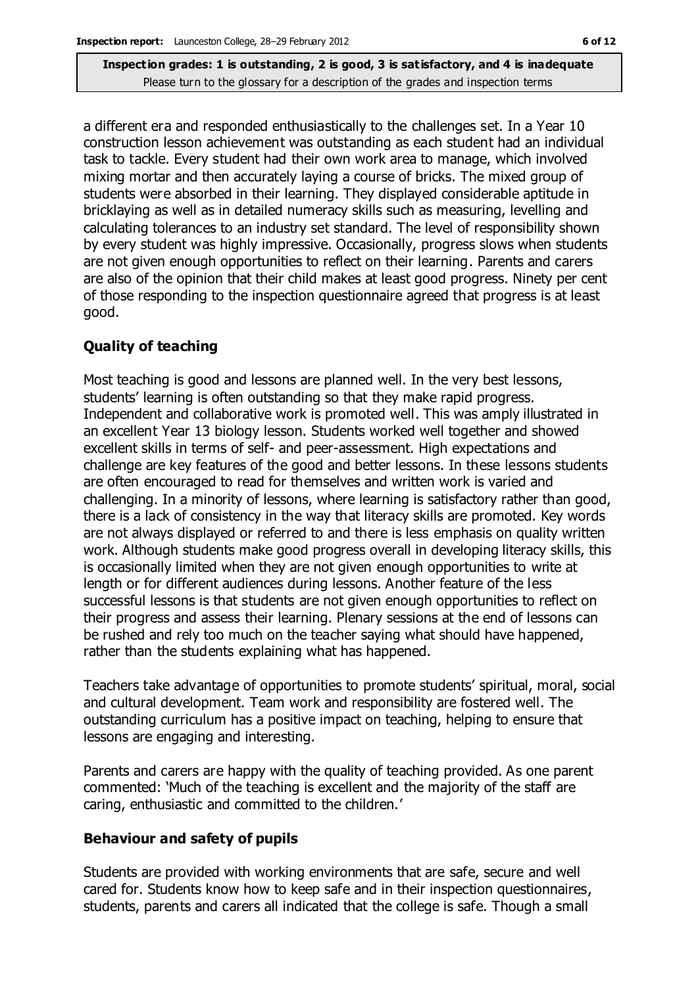a different era and responded enthusiastically to the challenges set. In a Year 10 construction lesson achievement was outstanding as each student had an individual task to tackle. Every student had their own work area to manage, which involved mixing mortar and then accurately laying a course of bricks. The mixed group of students were absorbed in their learning. They displayed considerable aptitude in bricklaying as well as in detailed numeracy skills such as measuring, levelling and calculating tolerances to an industry set standard. The level of responsibility shown by every student was highly impressive. Occasionally, progress slows when students are not given enough opportunities to reflect on their learning. Parents and carers are also of the opinion that their child makes at least good progress. Ninety per cent of those responding to the inspection questionnaire agreed that progress is at least good.

#### **Quality of teaching**

Most teaching is good and lessons are planned well. In the very best lessons, students' learning is often outstanding so that they make rapid progress. Independent and collaborative work is promoted well. This was amply illustrated in an excellent Year 13 biology lesson. Students worked well together and showed excellent skills in terms of self- and peer-assessment. High expectations and challenge are key features of the good and better lessons. In these lessons students are often encouraged to read for themselves and written work is varied and challenging. In a minority of lessons, where learning is satisfactory rather than good, there is a lack of consistency in the way that literacy skills are promoted. Key words are not always displayed or referred to and there is less emphasis on quality written work. Although students make good progress overall in developing literacy skills, this is occasionally limited when they are not given enough opportunities to write at length or for different audiences during lessons. Another feature of the less successful lessons is that students are not given enough opportunities to reflect on their progress and assess their learning. Plenary sessions at the end of lessons can be rushed and rely too much on the teacher saying what should have happened, rather than the students explaining what has happened.

Teachers take advantage of opportunities to promote students' spiritual, moral, social and cultural development. Team work and responsibility are fostered well. The outstanding curriculum has a positive impact on teaching, helping to ensure that lessons are engaging and interesting.

Parents and carers are happy with the quality of teaching provided. As one parent commented: 'Much of the teaching is excellent and the majority of the staff are caring, enthusiastic and committed to the children.'

#### **Behaviour and safety of pupils**

Students are provided with working environments that are safe, secure and well cared for. Students know how to keep safe and in their inspection questionnaires, students, parents and carers all indicated that the college is safe. Though a small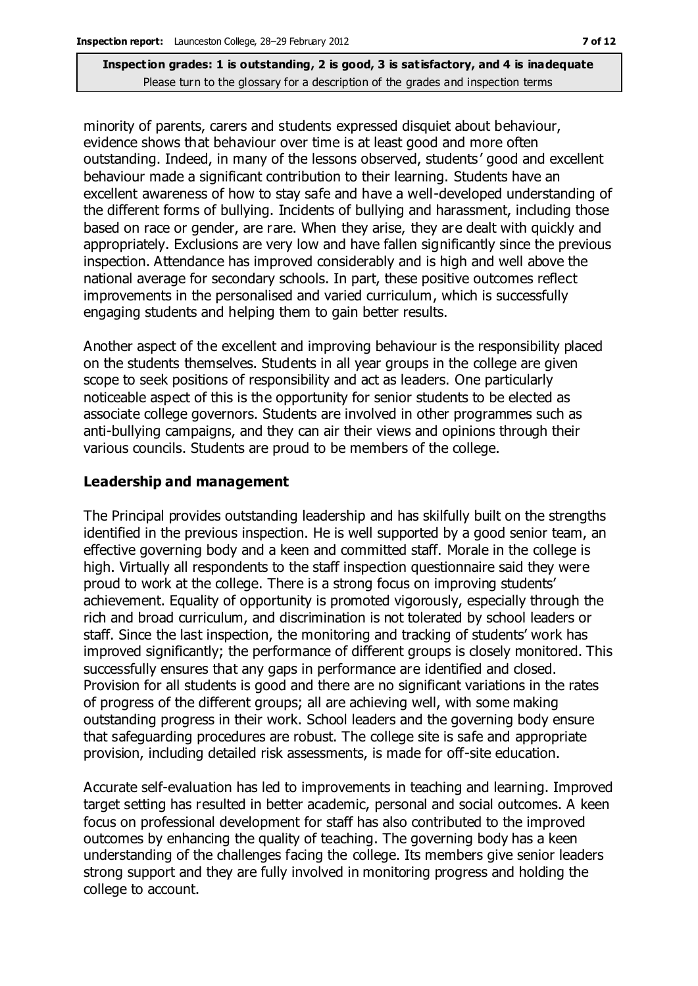minority of parents, carers and students expressed disquiet about behaviour, evidence shows that behaviour over time is at least good and more often outstanding. Indeed, in many of the lessons observed, students ' good and excellent behaviour made a significant contribution to their learning. Students have an excellent awareness of how to stay safe and have a well-developed understanding of the different forms of bullying. Incidents of bullying and harassment, including those based on race or gender, are rare. When they arise, they are dealt with quickly and appropriately. Exclusions are very low and have fallen significantly since the previous inspection. Attendance has improved considerably and is high and well above the national average for secondary schools. In part, these positive outcomes reflect improvements in the personalised and varied curriculum, which is successfully engaging students and helping them to gain better results.

Another aspect of the excellent and improving behaviour is the responsibility placed on the students themselves. Students in all year groups in the college are given scope to seek positions of responsibility and act as leaders. One particularly noticeable aspect of this is the opportunity for senior students to be elected as associate college governors. Students are involved in other programmes such as anti-bullying campaigns, and they can air their views and opinions through their various councils. Students are proud to be members of the college.

#### **Leadership and management**

The Principal provides outstanding leadership and has skilfully built on the strengths identified in the previous inspection. He is well supported by a good senior team, an effective governing body and a keen and committed staff. Morale in the college is high. Virtually all respondents to the staff inspection questionnaire said they were proud to work at the college. There is a strong focus on improving students' achievement. Equality of opportunity is promoted vigorously, especially through the rich and broad curriculum, and discrimination is not tolerated by school leaders or staff. Since the last inspection, the monitoring and tracking of students' work has improved significantly; the performance of different groups is closely monitored. This successfully ensures that any gaps in performance are identified and closed. Provision for all students is good and there are no significant variations in the rates of progress of the different groups; all are achieving well, with some making outstanding progress in their work. School leaders and the governing body ensure that safeguarding procedures are robust. The college site is safe and appropriate provision, including detailed risk assessments, is made for off-site education.

Accurate self-evaluation has led to improvements in teaching and learning. Improved target setting has resulted in better academic, personal and social outcomes. A keen focus on professional development for staff has also contributed to the improved outcomes by enhancing the quality of teaching. The governing body has a keen understanding of the challenges facing the college. Its members give senior leaders strong support and they are fully involved in monitoring progress and holding the college to account.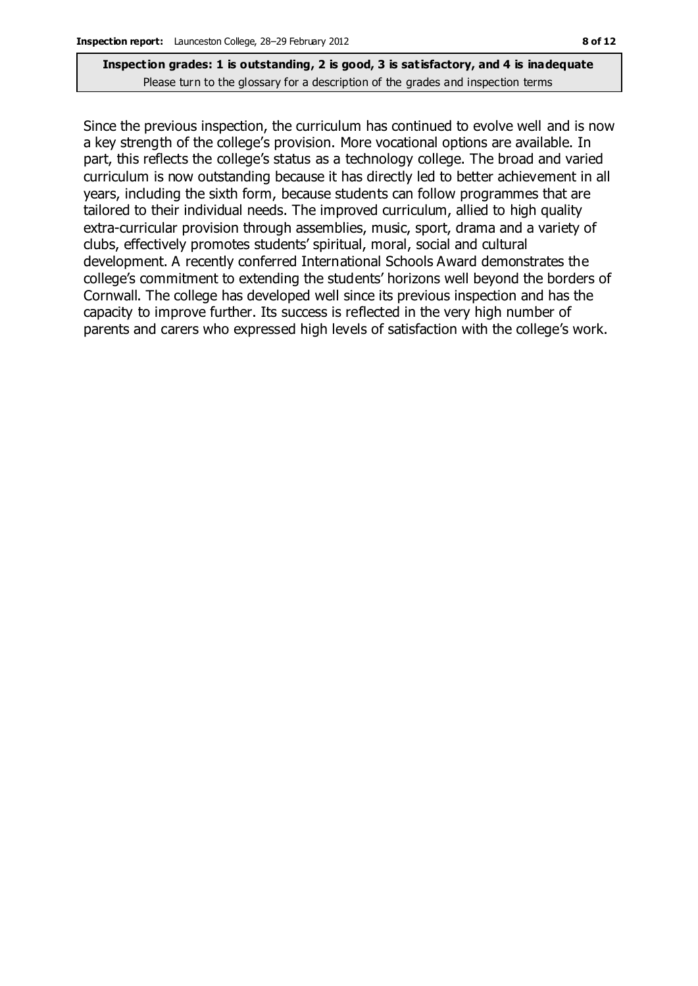Since the previous inspection, the curriculum has continued to evolve well and is now a key strength of the college's provision. More vocational options are available. In part, this reflects the college's status as a technology college. The broad and varied curriculum is now outstanding because it has directly led to better achievement in all years, including the sixth form, because students can follow programmes that are tailored to their individual needs. The improved curriculum, allied to high quality extra-curricular provision through assemblies, music, sport, drama and a variety of clubs, effectively promotes students' spiritual, moral, social and cultural development. A recently conferred International Schools Award demonstrates the college's commitment to extending the students' horizons well beyond the borders of Cornwall. The college has developed well since its previous inspection and has the capacity to improve further. Its success is reflected in the very high number of parents and carers who expressed high levels of satisfaction with the college's work.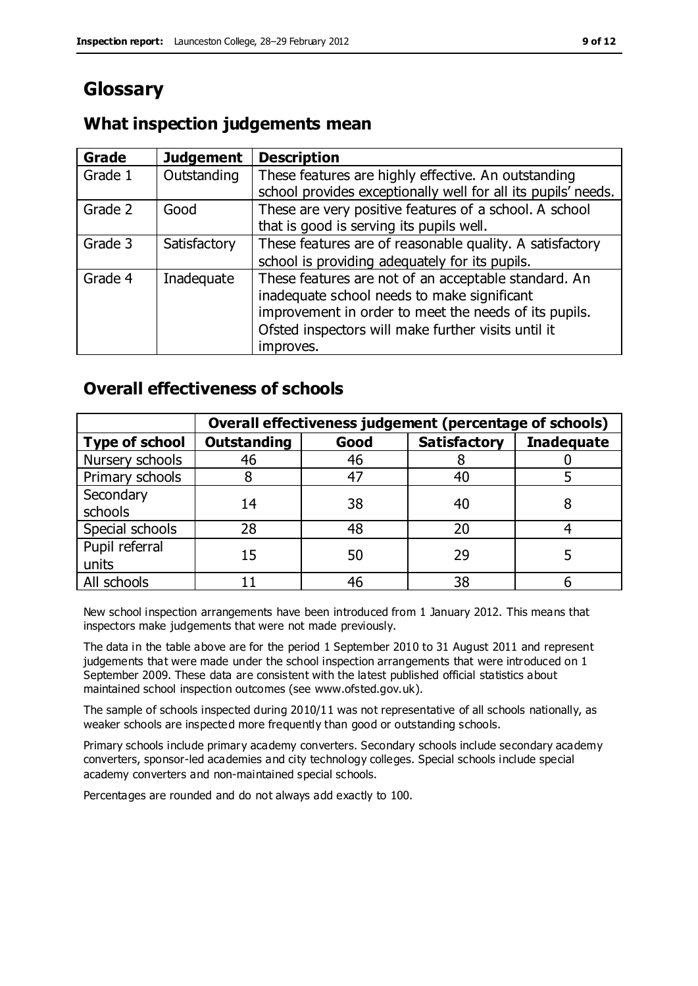### **Glossary**

### **What inspection judgements mean**

| Grade   | <b>Judgement</b> | <b>Description</b>                                                                                                   |
|---------|------------------|----------------------------------------------------------------------------------------------------------------------|
| Grade 1 | Outstanding      | These features are highly effective. An outstanding<br>school provides exceptionally well for all its pupils' needs. |
|         |                  |                                                                                                                      |
| Grade 2 | Good             | These are very positive features of a school. A school                                                               |
|         |                  | that is good is serving its pupils well.                                                                             |
| Grade 3 | Satisfactory     | These features are of reasonable quality. A satisfactory                                                             |
|         |                  | school is providing adequately for its pupils.                                                                       |
| Grade 4 | Inadequate       | These features are not of an acceptable standard. An                                                                 |
|         |                  | inadequate school needs to make significant                                                                          |
|         |                  | improvement in order to meet the needs of its pupils.                                                                |
|         |                  | Ofsted inspectors will make further visits until it                                                                  |
|         |                  | improves.                                                                                                            |

### **Overall effectiveness of schools**

|                         | Overall effectiveness judgement (percentage of schools) |      |                     |                   |
|-------------------------|---------------------------------------------------------|------|---------------------|-------------------|
| <b>Type of school</b>   | <b>Outstanding</b>                                      | Good | <b>Satisfactory</b> | <b>Inadequate</b> |
| Nursery schools         | 46                                                      | 46   |                     |                   |
| Primary schools         |                                                         | 47   | 40                  |                   |
| Secondary<br>schools    | 14                                                      | 38   | 40                  |                   |
| Special schools         | 28                                                      | 48   | 20                  |                   |
| Pupil referral<br>units | 15                                                      | 50   | 29                  |                   |
| All schools             |                                                         | 46   | 38                  |                   |

New school inspection arrangements have been introduced from 1 January 2012. This means that inspectors make judgements that were not made previously.

The data in the table above are for the period 1 September 2010 to 31 August 2011 and represent judgements that were made under the school inspection arrangements that were introduced on 1 September 2009. These data are consistent with the latest published official statistics about maintained school inspection outcomes (see www.ofsted.gov.uk).

The sample of schools inspected during 2010/11 was not representative of all schools nationally, as weaker schools are inspected more frequently than good or outstanding schools.

Primary schools include primary academy converters. Secondary schools include secondary academy converters, sponsor-led academies and city technology colleges. Special schools include special academy converters and non-maintained special schools.

Percentages are rounded and do not always add exactly to 100.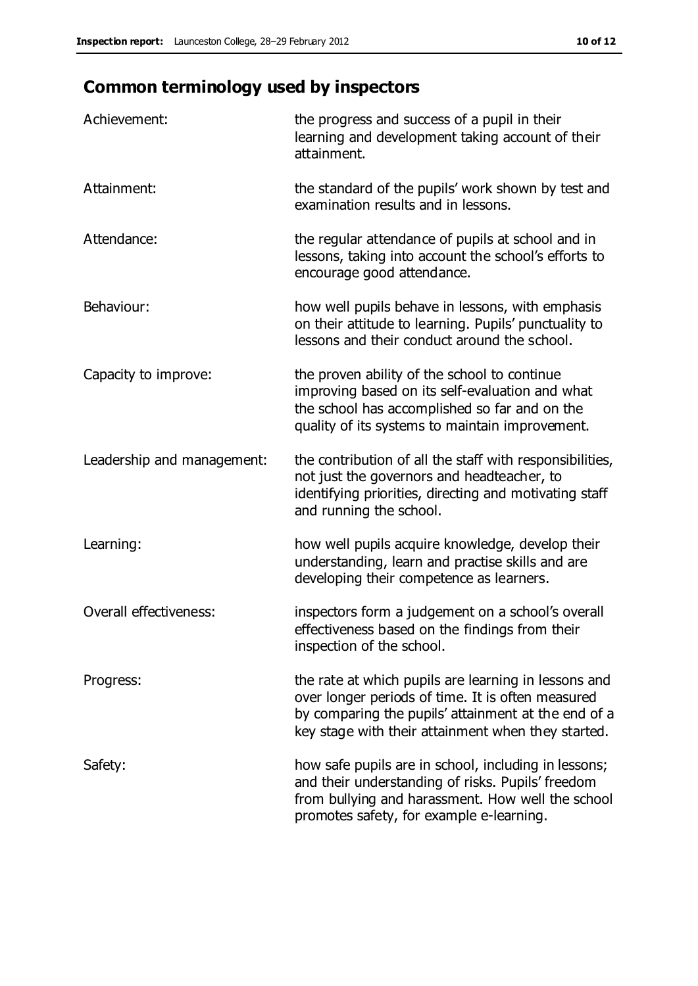## **Common terminology used by inspectors**

| Achievement:                  | the progress and success of a pupil in their<br>learning and development taking account of their<br>attainment.                                                                                                        |
|-------------------------------|------------------------------------------------------------------------------------------------------------------------------------------------------------------------------------------------------------------------|
| Attainment:                   | the standard of the pupils' work shown by test and<br>examination results and in lessons.                                                                                                                              |
| Attendance:                   | the regular attendance of pupils at school and in<br>lessons, taking into account the school's efforts to<br>encourage good attendance.                                                                                |
| Behaviour:                    | how well pupils behave in lessons, with emphasis<br>on their attitude to learning. Pupils' punctuality to<br>lessons and their conduct around the school.                                                              |
| Capacity to improve:          | the proven ability of the school to continue<br>improving based on its self-evaluation and what<br>the school has accomplished so far and on the<br>quality of its systems to maintain improvement.                    |
| Leadership and management:    | the contribution of all the staff with responsibilities,<br>not just the governors and headteacher, to<br>identifying priorities, directing and motivating staff<br>and running the school.                            |
| Learning:                     | how well pupils acquire knowledge, develop their<br>understanding, learn and practise skills and are<br>developing their competence as learners.                                                                       |
| <b>Overall effectiveness:</b> | inspectors form a judgement on a school's overall<br>effectiveness based on the findings from their<br>inspection of the school.                                                                                       |
| Progress:                     | the rate at which pupils are learning in lessons and<br>over longer periods of time. It is often measured<br>by comparing the pupils' attainment at the end of a<br>key stage with their attainment when they started. |
| Safety:                       | how safe pupils are in school, including in lessons;<br>and their understanding of risks. Pupils' freedom<br>from bullying and harassment. How well the school<br>promotes safety, for example e-learning.             |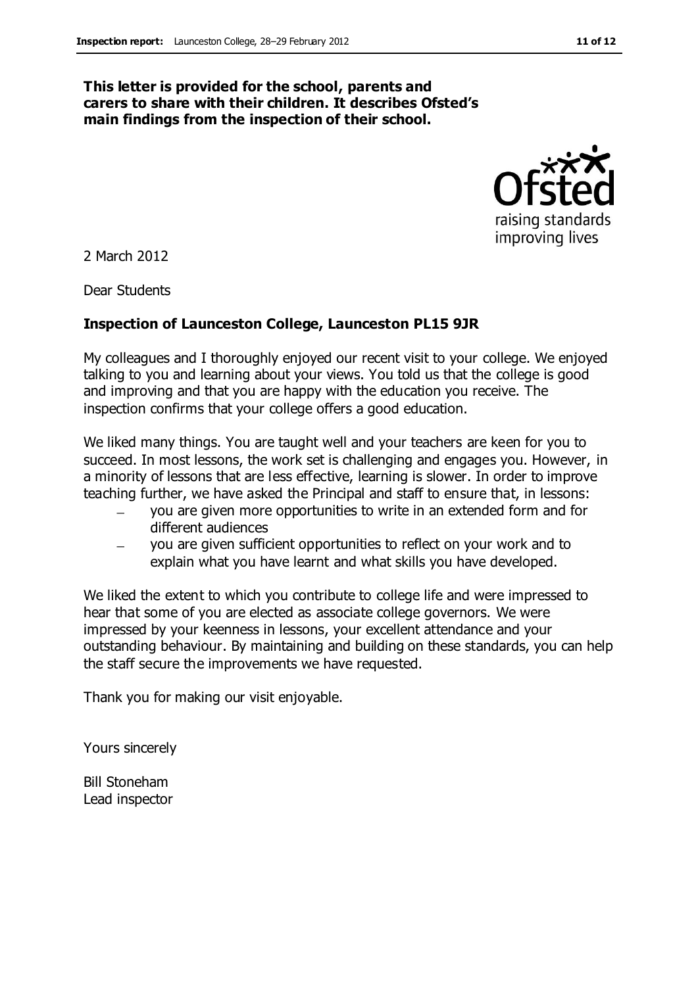#### **This letter is provided for the school, parents and carers to share with their children. It describes Ofsted's main findings from the inspection of their school.**



2 March 2012

Dear Students

#### **Inspection of Launceston College, Launceston PL15 9JR**

My colleagues and I thoroughly enjoyed our recent visit to your college. We enjoyed talking to you and learning about your views. You told us that the college is good and improving and that you are happy with the education you receive. The inspection confirms that your college offers a good education.

We liked many things. You are taught well and your teachers are keen for you to succeed. In most lessons, the work set is challenging and engages you. However, in a minority of lessons that are less effective, learning is slower. In order to improve teaching further, we have asked the Principal and staff to ensure that, in lessons:

- you are given more opportunities to write in an extended form and for different audiences
- you are given sufficient opportunities to reflect on your work and to explain what you have learnt and what skills you have developed.

We liked the extent to which you contribute to college life and were impressed to hear that some of you are elected as associate college governors. We were impressed by your keenness in lessons, your excellent attendance and your outstanding behaviour. By maintaining and building on these standards, you can help the staff secure the improvements we have requested.

Thank you for making our visit enjoyable.

Yours sincerely

Bill Stoneham Lead inspector